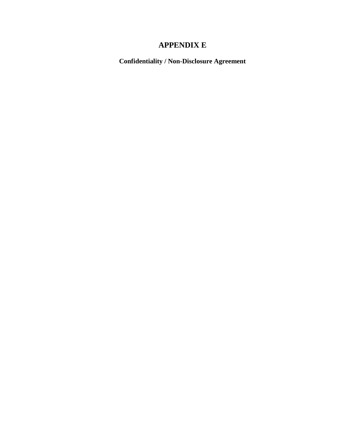# **APPENDIX E**

**Confidentiality / Non-Disclosure Agreement**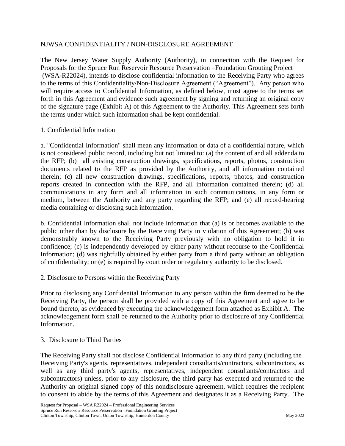#### NJWSA CONFIDENTIALITY / NON-DISCLOSURE AGREEMENT

The New Jersey Water Supply Authority (Authority), in connection with the Request for Proposals for the Spruce Run Reservoir Resource Preservation –Foundation Grouting Project (WSA-R22024), intends to disclose confidential information to the Receiving Party who agrees to the terms of this Confidentiality/Non-Disclosure Agreement ("Agreement"). Any person who will require access to Confidential Information, as defined below, must agree to the terms set forth in this Agreement and evidence such agreement by signing and returning an original copy of the signature page (Exhibit A) of this Agreement to the Authority. This Agreement sets forth the terms under which such information shall be kept confidential.

## 1. Confidential Information

a. "Confidential Information" shall mean any information or data of a confidential nature, which is not considered public record, including but not limited to: (a) the content of and all addenda to the RFP; (b) all existing construction drawings, specifications, reports, photos, construction documents related to the RFP as provided by the Authority, and all information contained therein; (c) all new construction drawings, specifications, reports, photos, and construction reports created in connection with the RFP, and all information contained therein; (d) all communications in any form and all information in such communications, in any form or medium, between the Authority and any party regarding the RFP; and (e) all record-bearing media containing or disclosing such information.

b. Confidential Information shall not include information that (a) is or becomes available to the public other than by disclosure by the Receiving Party in violation of this Agreement; (b) was demonstrably known to the Receiving Party previously with no obligation to hold it in confidence; (c) is independently developed by either party without recourse to the Confidential Information; (d) was rightfully obtained by either party from a third party without an obligation of confidentiality; or (e) is required by court order or regulatory authority to be disclosed.

2. Disclosure to Persons within the Receiving Party

Prior to disclosing any Confidential Information to any person within the firm deemed to be the Receiving Party, the person shall be provided with a copy of this Agreement and agree to be bound thereto, as evidenced by executing the acknowledgement form attached as Exhibit A. The acknowledgement form shall be returned to the Authority prior to disclosure of any Confidential Information.

#### 3. Disclosure to Third Parties

The Receiving Party shall not disclose Confidential Information to any third party (including the Receiving Party's agents, representatives, independent consultants/contractors, subcontractors, as well as any third party's agents, representatives, independent consultants/contractors and subcontractors) unless, prior to any disclosure, the third party has executed and returned to the Authority an original signed copy of this nondisclosure agreement, which requires the recipient to consent to abide by the terms of this Agreement and designates it as a Receiving Party. The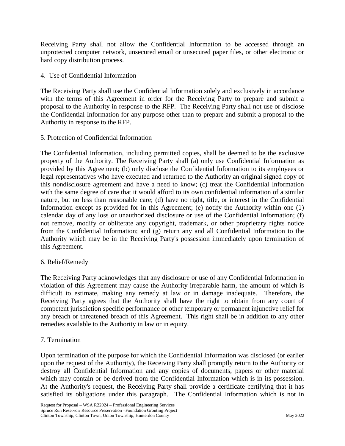Receiving Party shall not allow the Confidential Information to be accessed through an unprotected computer network, unsecured email or unsecured paper files, or other electronic or hard copy distribution process.

# 4. Use of Confidential Information

The Receiving Party shall use the Confidential Information solely and exclusively in accordance with the terms of this Agreement in order for the Receiving Party to prepare and submit a proposal to the Authority in response to the RFP. The Receiving Party shall not use or disclose the Confidential Information for any purpose other than to prepare and submit a proposal to the Authority in response to the RFP.

## 5. Protection of Confidential Information

The Confidential Information, including permitted copies, shall be deemed to be the exclusive property of the Authority. The Receiving Party shall (a) only use Confidential Information as provided by this Agreement; (b) only disclose the Confidential Information to its employees or legal representatives who have executed and returned to the Authority an original signed copy of this nondisclosure agreement and have a need to know; (c) treat the Confidential Information with the same degree of care that it would afford to its own confidential information of a similar nature, but no less than reasonable care; (d) have no right, title, or interest in the Confidential Information except as provided for in this Agreement; (e) notify the Authority within one (1) calendar day of any loss or unauthorized disclosure or use of the Confidential Information; (f) not remove, modify or obliterate any copyright, trademark, or other proprietary rights notice from the Confidential Information; and (g) return any and all Confidential Information to the Authority which may be in the Receiving Party's possession immediately upon termination of this Agreement.

#### 6. Relief/Remedy

The Receiving Party acknowledges that any disclosure or use of any Confidential Information in violation of this Agreement may cause the Authority irreparable harm, the amount of which is difficult to estimate, making any remedy at law or in damage inadequate. Therefore, the Receiving Party agrees that the Authority shall have the right to obtain from any court of competent jurisdiction specific performance or other temporary or permanent injunctive relief for any breach or threatened breach of this Agreement. This right shall be in addition to any other remedies available to the Authority in law or in equity.

#### 7. Termination

Upon termination of the purpose for which the Confidential Information was disclosed (or earlier upon the request of the Authority), the Receiving Party shall promptly return to the Authority or destroy all Confidential Information and any copies of documents, papers or other material which may contain or be derived from the Confidential Information which is in its possession. At the Authority's request, the Receiving Party shall provide a certificate certifying that it has satisfied its obligations under this paragraph. The Confidential Information which is not in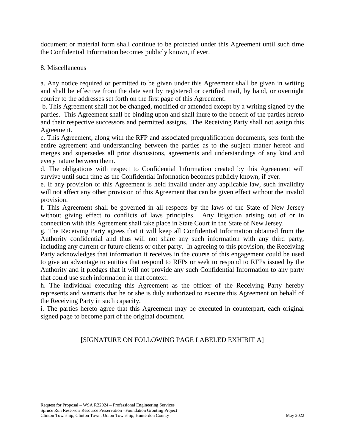document or material form shall continue to be protected under this Agreement until such time the Confidential Information becomes publicly known, if ever.

#### 8. Miscellaneous

a. Any notice required or permitted to be given under this Agreement shall be given in writing and shall be effective from the date sent by registered or certified mail, by hand, or overnight courier to the addresses set forth on the first page of this Agreement.

b. This Agreement shall not be changed, modified or amended except by a writing signed by the parties. This Agreement shall be binding upon and shall inure to the benefit of the parties hereto and their respective successors and permitted assigns. The Receiving Party shall not assign this Agreement.

c. This Agreement, along with the RFP and associated prequalification documents, sets forth the entire agreement and understanding between the parties as to the subject matter hereof and merges and supersedes all prior discussions, agreements and understandings of any kind and every nature between them.

d. The obligations with respect to Confidential Information created by this Agreement will survive until such time as the Confidential Information becomes publicly known, if ever.

e. If any provision of this Agreement is held invalid under any applicable law, such invalidity will not affect any other provision of this Agreement that can be given effect without the invalid provision.

f. This Agreement shall be governed in all respects by the laws of the State of New Jersey without giving effect to conflicts of laws principles. Any litigation arising out of or in connection with this Agreement shall take place in State Court in the State of New Jersey.

g. The Receiving Party agrees that it will keep all Confidential Information obtained from the Authority confidential and thus will not share any such information with any third party, including any current or future clients or other party. In agreeing to this provision, the Receiving Party acknowledges that information it receives in the course of this engagement could be used to give an advantage to entities that respond to RFPs or seek to respond to RFPs issued by the Authority and it pledges that it will not provide any such Confidential Information to any party that could use such information in that context.

h. The individual executing this Agreement as the officer of the Receiving Party hereby represents and warrants that he or she is duly authorized to execute this Agreement on behalf of the Receiving Party in such capacity.

i. The parties hereto agree that this Agreement may be executed in counterpart, each original signed page to become part of the original document.

# [SIGNATURE ON FOLLOWING PAGE LABELED EXHIBIT A]